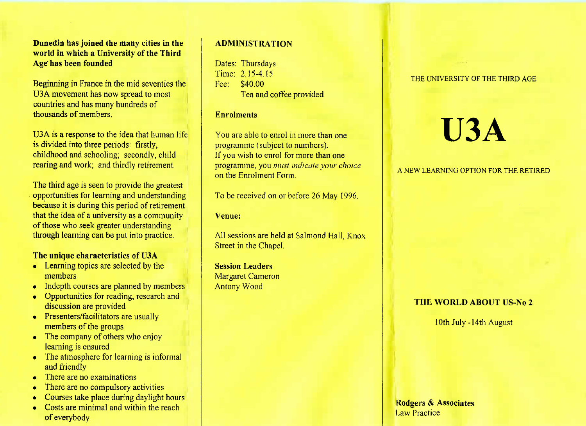**Dunedin has joined the many cities in the world in which a University of the ThirdAge has been founded**

Beginning in France in the mid seventies theU3A movement has now spread to most countries and has many hundreds ofthousands of members.

U3A is a response to the idea that human lifeis divided into three periods: firstly, childhood and schooling; secondly, childrearing and work; and thirdly retirement.

The third age is seen to provide the greatest opportunities for learning and understanding because it is during this period of retirement that the idea of a university as a communityof those who seek greater understandingthrough learning can be put into practice.

## **The unique characteristics of U3A**

- Learning topics are selected by themembers
- Indepth courses are planned by members
- Opportunities for reading, research anddiscussion are provided
- Presenters/facilitators are usually members of the groups
- The company of others who enjoy learning is ensured
- The atmosphere for learning is informaland friendly
- There are no examinations
- There are no compulsory activities
- Courses take place during daylight hours
- Costs are minimal and within the reachof everybody

# **ADMINISTRATION**

Dates: Thursdays Time: 2.15-4.15Fee: \$40.00Tea and coffee provided

## **Enrolments**

You are able to enrol in more than oneprogramme (subject to numbers). If you wish to enrol for more than one programme, you *must indicate your choice*on the Enrolment Form.

To be received on or before 26 May 1996.

## **Venue:**

All sessions are held at Salmond Hall, KnoxStreet in the Chapel.

**Session Leaders** Margaret CameronAntony Wood

### THE UNIVERSITY OF THE THIRD AGE

# **U3A**

## A NEW LEARNING OPTION FOR THE. RETIRED

# **THE WORLD ABOUT US-No 2**

10th July-14th August

**Rodgers & AssociatesLaw Practice**